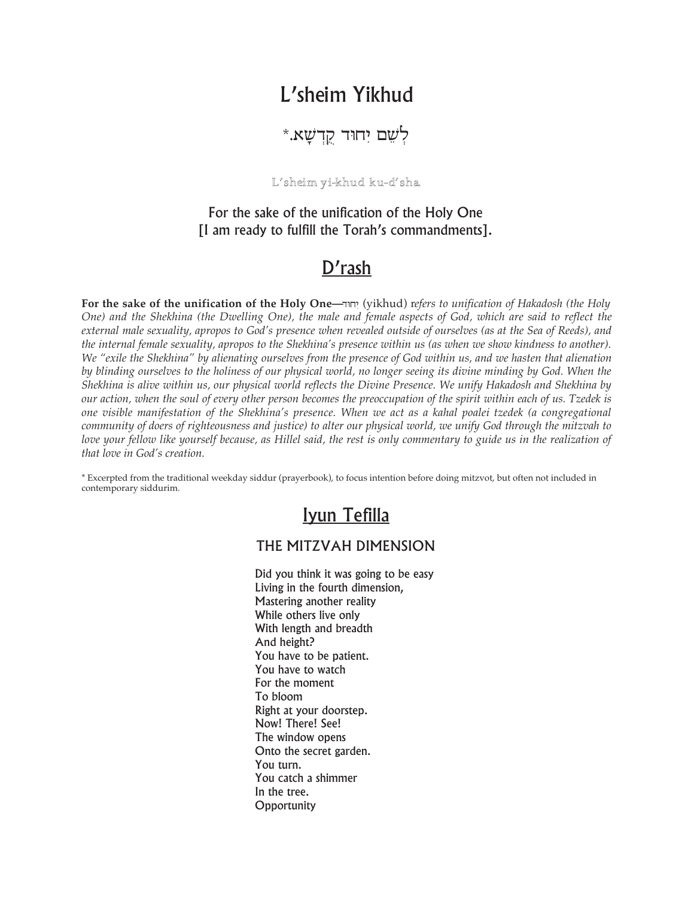# L'sheim Yikhud

לְשֶׁם יְחוּד קֵדְשָׁא.\*

### L'sheim yi-khud ku-d'sha

For the sake of the unification of the Holy One [I am ready to fulfill the Torah's commandments].

### D'rash

For the sake of the unification of the Holy One-יחוד (yikhud) refers to unification of Hakadosh (the Holy One) and the Shekhina (the Dwelling One), the male and female aspects of God, which are said to reflect the external male sexuality, apropos to God's presence when revealed outside of ourselves (as at the Sea of Reeds), and the internal female sexuality, apropos to the Shekhina's presence within us (as when we show kindness to another). We "exile the Shekhina" by alienating ourselves from the presence of God within us, and we hasten that alienation by blinding ourselves to the holiness of our physical world, no longer seeing its divine minding by God. When the Shekhina is alive within us, our physical world reflects the Divine Presence. We unify Hakadosh and Shekhina by our action, when the soul of every other person becomes the preoccupation of the spirit within each of us. Tzedek is one visible manifestation of the Shekhina's presence. When we act as a kahal poalei tzedek (a congregational community of doers of righteousness and justice) to alter our physical world, we unify God through the mitzvah to love your fellow like yourself because, as Hillel said, the rest is only commentary to guide us in the realization of that love in God's creation

\* Excerpted from the traditional weekday siddur (prayerbook), to focus intention before doing mitzvot, but often not included in contemporary siddurim.

## Iyun Tefilla

### THE MITZVAH DIMENSION

Did you think it was going to be easy Living in the fourth dimension, Mastering another reality While others live only With length and breadth And height? You have to be patient. You have to watch For the moment To bloom Right at your doorstep. Now! There! See! The window opens Onto the secret garden. You turn. You catch a shimmer In the tree. Opportunity